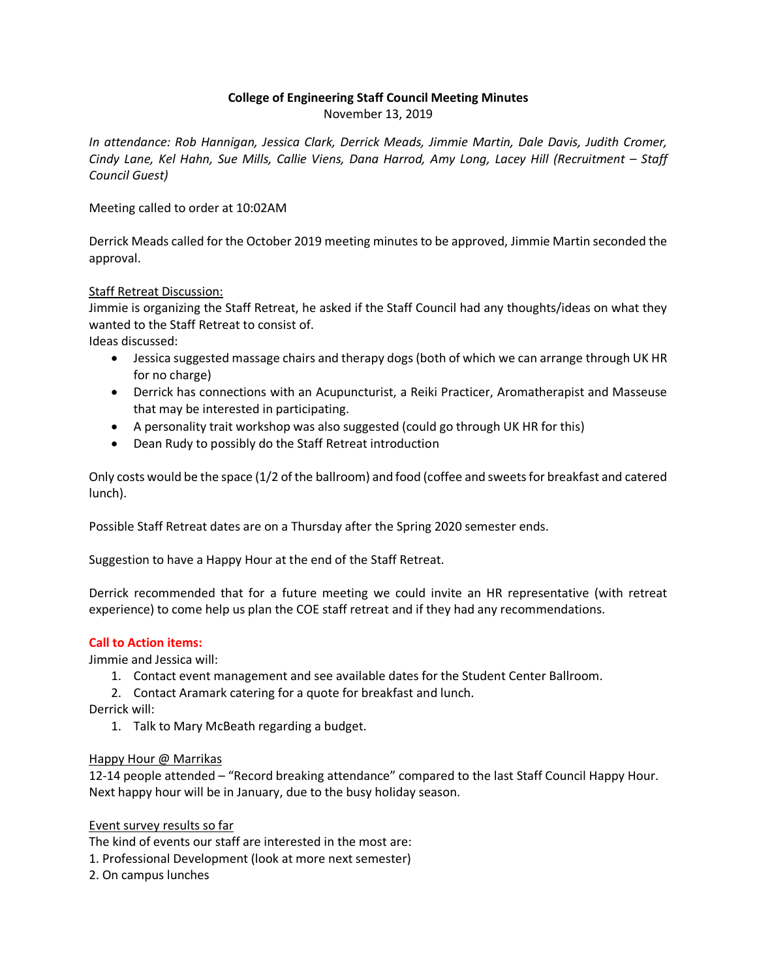# **College of Engineering Staff Council Meeting Minutes**

November 13, 2019

*In attendance: Rob Hannigan, Jessica Clark, Derrick Meads, Jimmie Martin, Dale Davis, Judith Cromer, Cindy Lane, Kel Hahn, Sue Mills, Callie Viens, Dana Harrod, Amy Long, Lacey Hill (Recruitment – Staff Council Guest)*

Meeting called to order at 10:02AM

Derrick Meads called for the October 2019 meeting minutes to be approved, Jimmie Martin seconded the approval.

## Staff Retreat Discussion:

Jimmie is organizing the Staff Retreat, he asked if the Staff Council had any thoughts/ideas on what they wanted to the Staff Retreat to consist of.

Ideas discussed:

- Jessica suggested massage chairs and therapy dogs (both of which we can arrange through UK HR for no charge)
- Derrick has connections with an Acupuncturist, a Reiki Practicer, Aromatherapist and Masseuse that may be interested in participating.
- A personality trait workshop was also suggested (could go through UK HR for this)
- Dean Rudy to possibly do the Staff Retreat introduction

Only costs would be the space (1/2 of the ballroom) and food (coffee and sweets for breakfast and catered lunch).

Possible Staff Retreat dates are on a Thursday after the Spring 2020 semester ends.

Suggestion to have a Happy Hour at the end of the Staff Retreat.

Derrick recommended that for a future meeting we could invite an HR representative (with retreat experience) to come help us plan the COE staff retreat and if they had any recommendations.

## **Call to Action items:**

Jimmie and Jessica will:

- 1. Contact event management and see available dates for the Student Center Ballroom.
- 2. Contact Aramark catering for a quote for breakfast and lunch.

Derrick will:

1. Talk to Mary McBeath regarding a budget.

## Happy Hour @ Marrikas

12-14 people attended – "Record breaking attendance" compared to the last Staff Council Happy Hour. Next happy hour will be in January, due to the busy holiday season.

## Event survey results so far

The kind of events our staff are interested in the most are:

- 1. Professional Development (look at more next semester)
- 2. On campus lunches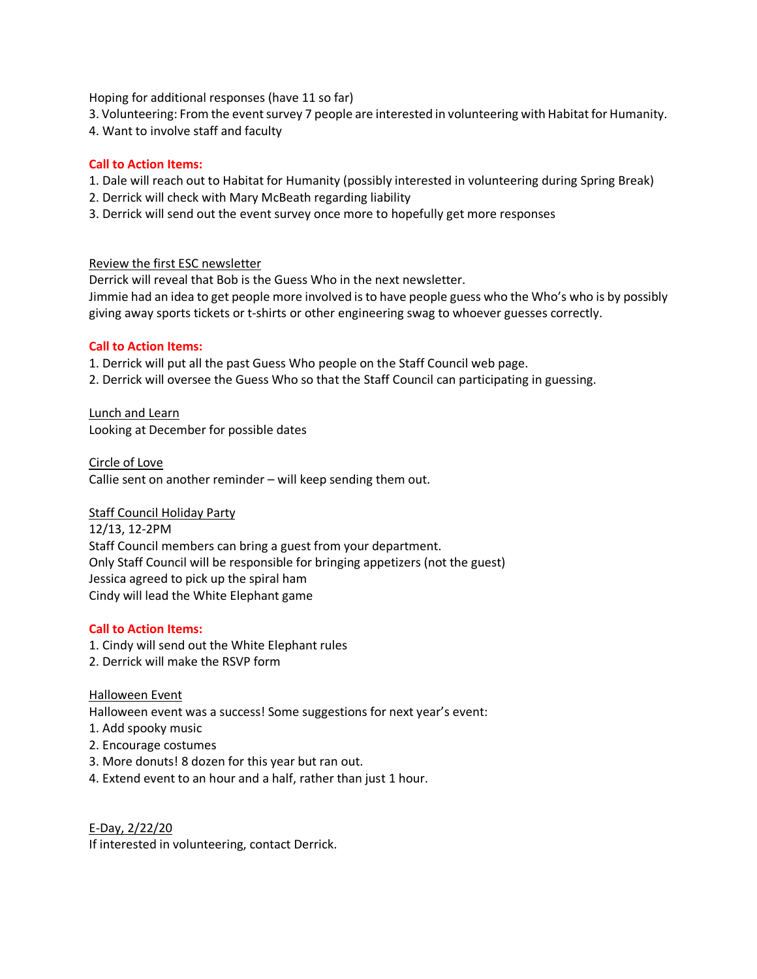Hoping for additional responses (have 11 so far)

- 3. Volunteering: From the event survey 7 people are interested in volunteering with Habitat for Humanity.
- 4. Want to involve staff and faculty

#### **Call to Action Items:**

- 1. Dale will reach out to Habitat for Humanity (possibly interested in volunteering during Spring Break)
- 2. Derrick will check with Mary McBeath regarding liability
- 3. Derrick will send out the event survey once more to hopefully get more responses

#### Review the first ESC newsletter

Derrick will reveal that Bob is the Guess Who in the next newsletter. Jimmie had an idea to get people more involved is to have people guess who the Who's who is by possibly giving away sports tickets or t-shirts or other engineering swag to whoever guesses correctly.

## **Call to Action Items:**

1. Derrick will put all the past Guess Who people on the Staff Council web page.

2. Derrick will oversee the Guess Who so that the Staff Council can participating in guessing.

Lunch and Learn Looking at December for possible dates

Circle of Love Callie sent on another reminder – will keep sending them out.

## Staff Council Holiday Party

12/13, 12-2PM Staff Council members can bring a guest from your department. Only Staff Council will be responsible for bringing appetizers (not the guest) Jessica agreed to pick up the spiral ham Cindy will lead the White Elephant game

## **Call to Action Items:**

- 1. Cindy will send out the White Elephant rules
- 2. Derrick will make the RSVP form

## Halloween Event

Halloween event was a success! Some suggestions for next year's event:

- 1. Add spooky music
- 2. Encourage costumes
- 3. More donuts! 8 dozen for this year but ran out.
- 4. Extend event to an hour and a half, rather than just 1 hour.

E-Day, 2/22/20 If interested in volunteering, contact Derrick.